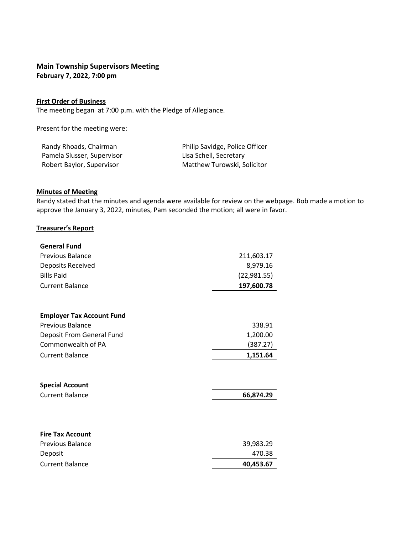# **Main Township Supervisors Meeting**

**February 7, 2022, 7:00 pm**

## **First Order of Business**

The meeting began at 7:00 p.m. with the Pledge of Allegiance.

Present for the meeting were:

| Randy Rhoads, Chairman     | Philip Savidge, Police Officer |
|----------------------------|--------------------------------|
| Pamela Slusser, Supervisor | Lisa Schell, Secretary         |
| Robert Baylor, Supervisor  | Matthew Turowski, Solicitor    |

## **Minutes of Meeting**

Randy stated that the minutes and agenda were available for review on the webpage. Bob made a motion to approve the January 3, 2022, minutes, Pam seconded the motion; all were in favor.

### **Treasurer's Report**

| <b>General Fund</b>              |              |  |
|----------------------------------|--------------|--|
| <b>Previous Balance</b>          | 211,603.17   |  |
| Deposits Received                | 8,979.16     |  |
| <b>Bills Paid</b>                | (22, 981.55) |  |
| <b>Current Balance</b>           | 197,600.78   |  |
|                                  |              |  |
| <b>Employer Tax Account Fund</b> |              |  |
| <b>Previous Balance</b>          | 338.91       |  |
| Deposit From General Fund        | 1,200.00     |  |
| Commonwealth of PA               | (387.27)     |  |
| <b>Current Balance</b>           | 1,151.64     |  |
|                                  |              |  |
| <b>Special Account</b>           |              |  |
| <b>Current Balance</b>           | 66,874.29    |  |
|                                  |              |  |
| <b>Fire Tax Account</b>          |              |  |
| <b>Previous Balance</b>          | 39,983.29    |  |
| Deposit                          | 470.38       |  |
| <b>Current Balance</b>           | 40,453.67    |  |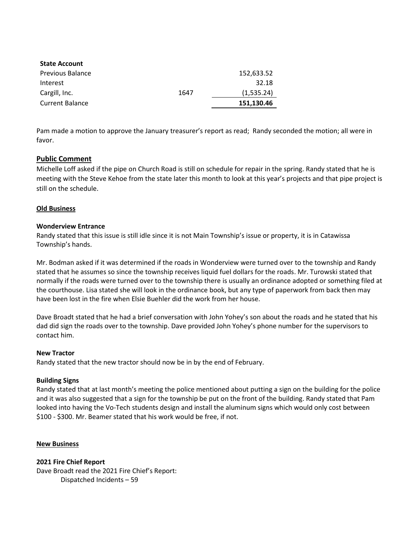| <b>State Account</b>    |      |            |
|-------------------------|------|------------|
| <b>Previous Balance</b> |      | 152,633.52 |
| Interest                |      | 32.18      |
| Cargill, Inc.           | 1647 | (1,535.24) |
| <b>Current Balance</b>  |      | 151,130.46 |

Pam made a motion to approve the January treasurer's report as read; Randy seconded the motion; all were in favor.

## **Public Comment**

Michelle Loff asked if the pipe on Church Road is still on schedule for repair in the spring. Randy stated that he is meeting with the Steve Kehoe from the state later this month to look at this year's projects and that pipe project is still on the schedule.

### **Old Business**

### **Wonderview Entrance**

Randy stated that this issue is still idle since it is not Main Township's issue or property, it is in Catawissa Township's hands.

Mr. Bodman asked if it was determined if the roads in Wonderview were turned over to the township and Randy stated that he assumes so since the township receives liquid fuel dollars for the roads. Mr. Turowski stated that normally if the roads were turned over to the township there is usually an ordinance adopted or something filed at the courthouse. Lisa stated she will look in the ordinance book, but any type of paperwork from back then may have been lost in the fire when Elsie Buehler did the work from her house.

Dave Broadt stated that he had a brief conversation with John Yohey's son about the roads and he stated that his dad did sign the roads over to the township. Dave provided John Yohey's phone number for the supervisors to contact him.

### **New Tractor**

Randy stated that the new tractor should now be in by the end of February.

### **Building Signs**

Randy stated that at last month's meeting the police mentioned about putting a sign on the building for the police and it was also suggested that a sign for the township be put on the front of the building. Randy stated that Pam looked into having the Vo-Tech students design and install the aluminum signs which would only cost between \$100 - \$300. Mr. Beamer stated that his work would be free, if not.

### **New Business**

**2021 Fire Chief Report** Dave Broadt read the 2021 Fire Chief's Report: Dispatched Incidents – 59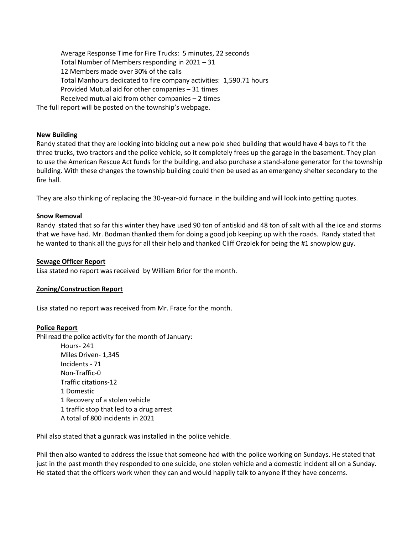Average Response Time for Fire Trucks: 5 minutes, 22 seconds Total Number of Members responding in 2021 – 31 12 Members made over 30% of the calls Total Manhours dedicated to fire company activities: 1,590.71 hours Provided Mutual aid for other companies – 31 times Received mutual aid from other companies – 2 times The full report will be posted on the township's webpage.

#### **New Building**

Randy stated that they are looking into bidding out a new pole shed building that would have 4 bays to fit the three trucks, two tractors and the police vehicle, so it completely frees up the garage in the basement. They plan to use the American Rescue Act funds for the building, and also purchase a stand-alone generator for the township building. With these changes the township building could then be used as an emergency shelter secondary to the fire hall.

They are also thinking of replacing the 30-year-old furnace in the building and will look into getting quotes.

#### **Snow Removal**

Randy stated that so far this winter they have used 90 ton of antiskid and 48 ton of salt with all the ice and storms that we have had. Mr. Bodman thanked them for doing a good job keeping up with the roads. Randy stated that he wanted to thank all the guys for all their help and thanked Cliff Orzolek for being the #1 snowplow guy.

#### **Sewage Officer Report**

Lisa stated no report was received by William Brior for the month.

### **Zoning/Construction Report**

Lisa stated no report was received from Mr. Frace for the month.

#### **Police Report**

Phil read the police activity for the month of January:

Hours- 241 Miles Driven- 1,345 Incidents - 71 Non-Traffic-0 Traffic citations-12 1 Domestic 1 Recovery of a stolen vehicle 1 traffic stop that led to a drug arrest A total of 800 incidents in 2021

Phil also stated that a gunrack was installed in the police vehicle.

Phil then also wanted to address the issue that someone had with the police working on Sundays. He stated that just in the past month they responded to one suicide, one stolen vehicle and a domestic incident all on a Sunday. He stated that the officers work when they can and would happily talk to anyone if they have concerns.